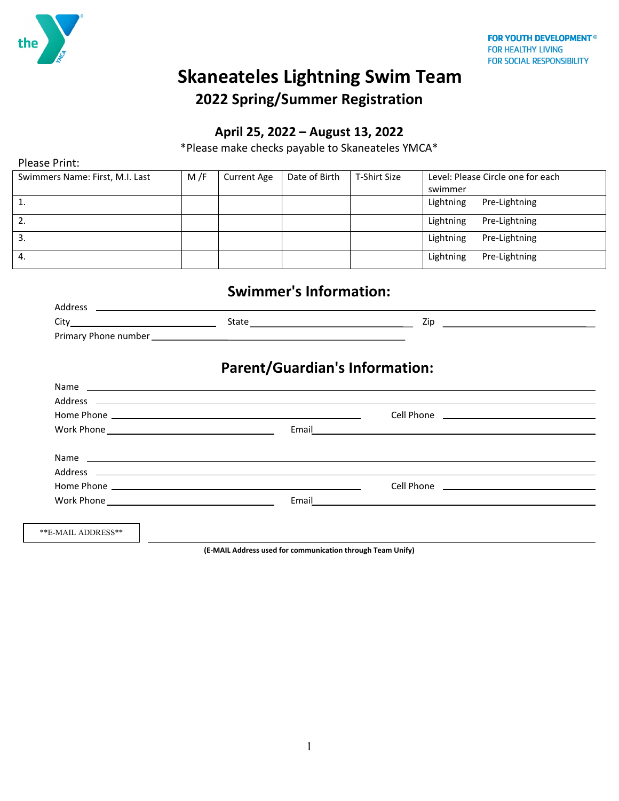

Please Print:

# **Skaneateles Lightning Swim Team 2022 Spring/Summer Registration**

### **April 25, 2022 – August 13, 2022**

\*Please make checks payable to Skaneateles YMCA\*

| Swimmers Name: First, M.I. Last | M/F | <b>Current Age</b> | Date of Birth | T-Shirt Size | Level: Please Circle one for each<br>swimmer |
|---------------------------------|-----|--------------------|---------------|--------------|----------------------------------------------|
|                                 |     |                    |               |              | Lightning<br>Pre-Lightning                   |
| 2.                              |     |                    |               |              | Lightning<br>Pre-Lightning                   |
| 3.                              |     |                    |               |              | Lightning<br>Pre-Lightning                   |
| 4.                              |     |                    |               |              | Lightning<br>Pre-Lightning                   |

## **Swimmer's Information:**

| <b>Address</b>       |       |     |
|----------------------|-------|-----|
| City                 | State | ۷ıc |
| Primary Phone number |       |     |

### **Parent/Guardian's Information:**

|                    | Cell Phone <u>__________________________________</u>                                                           |  |
|--------------------|----------------------------------------------------------------------------------------------------------------|--|
|                    |                                                                                                                |  |
|                    |                                                                                                                |  |
|                    |                                                                                                                |  |
|                    | Cell Phone <b>Community</b> Cell Phone                                                                         |  |
|                    | Email 2008 2009 2009 2009 2009 2010 2021 2022 2023 2024 2022 2023 2024 2022 2023 2024 2022 2023 2024 2022 2023 |  |
| **E-MAIL ADDRESS** |                                                                                                                |  |

**(E-MAIL Address used for communication through Team Unify)**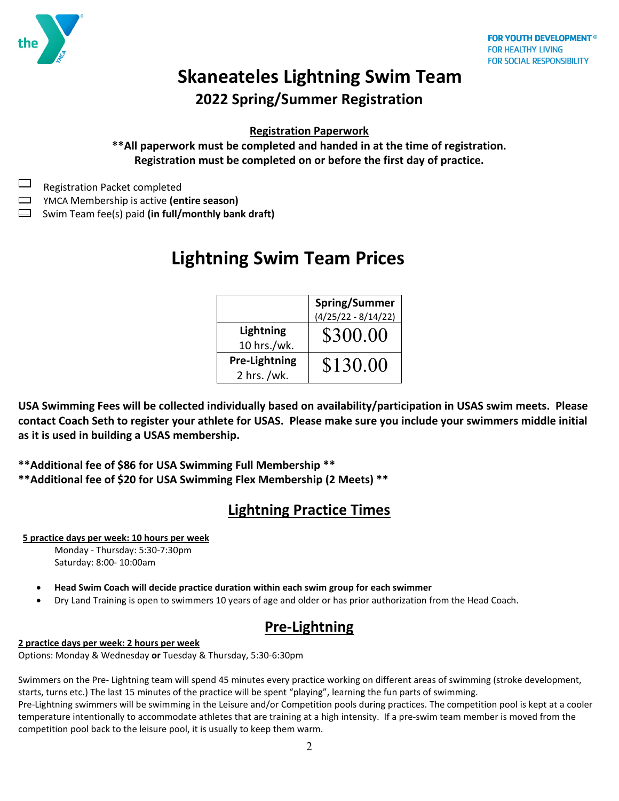

**Registration Paperwork**

**\*\*All paperwork must be completed and handed in at the time of registration. Registration must be completed on or before the first day of practice.** 

Registration Packet completed

YMCA Membership is active **(entire season)**

Swim Team fee(s) paid **(in full/monthly bank draft)**

# **Lightning Swim Team Prices**

|                                     | <b>Spring/Summer</b><br>(4/25/22 - 8/14/22) |
|-------------------------------------|---------------------------------------------|
| Lightning<br>10 hrs./wk.            | \$300.00                                    |
| <b>Pre-Lightning</b><br>2 hrs. /wk. | \$130.00                                    |

**USA Swimming Fees will be collected individually based on availability/participation in USAS swim meets. Please contact Coach Seth to register your athlete for USAS. Please make sure you include your swimmers middle initial as it is used in building a USAS membership.** 

**\*\*Additional fee of \$86 for USA Swimming Full Membership \*\***

**\*\*Additional fee of \$20 for USA Swimming Flex Membership (2 Meets) \*\*** 

### **Lightning Practice Times**

### **5 practice days per week: 10 hours per week**

 Monday - Thursday: 5:30-7:30pm Saturday: 8:00- 10:00am

- **Head Swim Coach will decide practice duration within each swim group for each swimmer**
- Dry Land Training is open to swimmers 10 years of age and older or has prior authorization from the Head Coach.

### **Pre-Lightning**

**2 practice days per week: 2 hours per week**

Options: Monday & Wednesday **or** Tuesday & Thursday, 5:30-6:30pm

Swimmers on the Pre- Lightning team will spend 45 minutes every practice working on different areas of swimming (stroke development, starts, turns etc.) The last 15 minutes of the practice will be spent "playing", learning the fun parts of swimming. Pre-Lightning swimmers will be swimming in the Leisure and/or Competition pools during practices. The competition pool is kept at a cooler temperature intentionally to accommodate athletes that are training at a high intensity. If a pre-swim team member is moved from the competition pool back to the leisure pool, it is usually to keep them warm.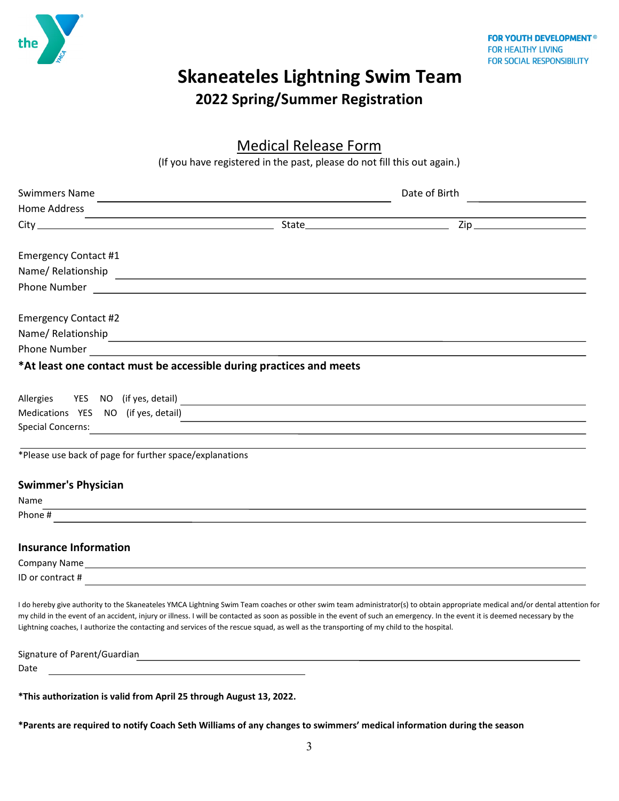

Medical Release Form<br>(If you have registered in the past, please do not fill this out again.)

| <b>Swimmers Name</b>                                                                                                                                                                                                                                                                                                       | <u> 1980 - Johann John Stein, marwolaethau (b. 1980)</u>                                                              | Date of Birth                                                                                                                                                                |
|----------------------------------------------------------------------------------------------------------------------------------------------------------------------------------------------------------------------------------------------------------------------------------------------------------------------------|-----------------------------------------------------------------------------------------------------------------------|------------------------------------------------------------------------------------------------------------------------------------------------------------------------------|
| Home Address                                                                                                                                                                                                                                                                                                               |                                                                                                                       |                                                                                                                                                                              |
|                                                                                                                                                                                                                                                                                                                            |                                                                                                                       |                                                                                                                                                                              |
| <b>Emergency Contact #1</b>                                                                                                                                                                                                                                                                                                |                                                                                                                       |                                                                                                                                                                              |
| Name/Relationship                                                                                                                                                                                                                                                                                                          |                                                                                                                       |                                                                                                                                                                              |
| Phone Number 2014 2022 2022 2023 2024 2022 2023 2024 2022 2023 2024 2022 2023 2024 2022 2023 2024 2022 2023 20                                                                                                                                                                                                             |                                                                                                                       |                                                                                                                                                                              |
| <b>Emergency Contact #2</b>                                                                                                                                                                                                                                                                                                |                                                                                                                       |                                                                                                                                                                              |
|                                                                                                                                                                                                                                                                                                                            |                                                                                                                       |                                                                                                                                                                              |
|                                                                                                                                                                                                                                                                                                                            |                                                                                                                       |                                                                                                                                                                              |
| *At least one contact must be accessible during practices and meets                                                                                                                                                                                                                                                        |                                                                                                                       |                                                                                                                                                                              |
|                                                                                                                                                                                                                                                                                                                            |                                                                                                                       |                                                                                                                                                                              |
| Medications YES NO (if yes, detail)                                                                                                                                                                                                                                                                                        |                                                                                                                       |                                                                                                                                                                              |
| <b>Special Concerns:</b>                                                                                                                                                                                                                                                                                                   |                                                                                                                       |                                                                                                                                                                              |
| *Please use back of page for further space/explanations                                                                                                                                                                                                                                                                    |                                                                                                                       |                                                                                                                                                                              |
| <b>Swimmer's Physician</b>                                                                                                                                                                                                                                                                                                 |                                                                                                                       |                                                                                                                                                                              |
| Name<br>,我们也不能在这里的时候,我们也不能会在这里,我们也不能会在这里,我们也不能会在这里,我们也不能会在这里的时候,我们也不能会在这里,我们也不能会不能会不能会。<br>第2012章 我们的时候,我们的时候,我们的时候,我们的时候,我们的时候,我们的时候,我们的时候,我们的时候,我们的时候,我们的时候,我们的时候,我们的时候,我                                                                                                                                                |                                                                                                                       |                                                                                                                                                                              |
| Phone #                                                                                                                                                                                                                                                                                                                    |                                                                                                                       |                                                                                                                                                                              |
| <b>Insurance Information</b>                                                                                                                                                                                                                                                                                               |                                                                                                                       |                                                                                                                                                                              |
| Company Name experience and the company of the company of the company of the company Name experience of the company of the company of the company of the company of the company of the company of the company of the company o                                                                                             |                                                                                                                       |                                                                                                                                                                              |
| ID or contract #                                                                                                                                                                                                                                                                                                           |                                                                                                                       |                                                                                                                                                                              |
| my child in the event of an accident, injury or illness. I will be contacted as soon as possible in the event of such an emergency. In the event it is deemed necessary by the<br>Lightning coaches, I authorize the contacting and services of the rescue squad, as well as the transporting of my child to the hospital. |                                                                                                                       | I do hereby give authority to the Skaneateles YMCA Lightning Swim Team coaches or other swim team administrator(s) to obtain appropriate medical and/or dental attention for |
| Signature of Parent/Guardian                                                                                                                                                                                                                                                                                               | <u> 1980 - Johann Stoff, deutscher Stoff, der Stoff, der Stoff, der Stoff, der Stoff, der Stoff, der Stoff, der S</u> |                                                                                                                                                                              |
| Date                                                                                                                                                                                                                                                                                                                       |                                                                                                                       |                                                                                                                                                                              |

**\*This authorization is valid from April 25 through August 13, 2022.** 

**\*Parents are required to notify Coach Seth Williams of any changes to swimmers' medical information during the season**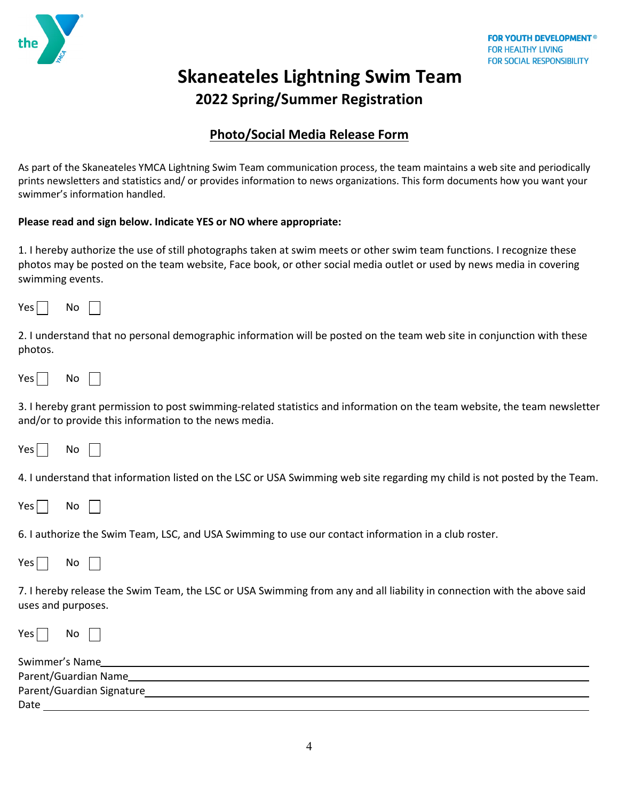

### **Photo/Social Media Release Form**

As part of the Skaneateles YMCA Lightning Swim Team communication process, the team maintains a web site and periodically prints newsletters and statistics and/ or provides information to news organizations. This form documents how you want your swimmer's information handled.

### **Please read and sign below. Indicate YES or NO where appropriate:**

1. I hereby authorize the use of still photographs taken at swim meets or other swim team functions. I recognize these photos may be posted on the team website, Face book, or other social media outlet or used by news media in covering swimming events.

2. I understand that no personal demographic information will be posted on the team web site in conjunction with these photos.

Yes  $\Box$  No  $\Box$ 

3. I hereby grant permission to post swimming-related statistics and information on the team website, the team newsletter and/or to provide this information to the news media.

Yes No

4. I understand that information listed on the LSC or USA Swimming web site regarding my child is not posted by the Team.

Yes  $\Box$  No  $\Box$ 

6. I authorize the Swim Team, LSC, and USA Swimming to use our contact information in a club roster.

Yes | No

7. I hereby release the Swim Team, the LSC or USA Swimming from any and all liability in connection with the above said uses and purposes.

 $Yes \Box$  No

| Swimmer's Name            |  |
|---------------------------|--|
| Parent/Guardian Name      |  |
| Parent/Guardian Signature |  |
| Date                      |  |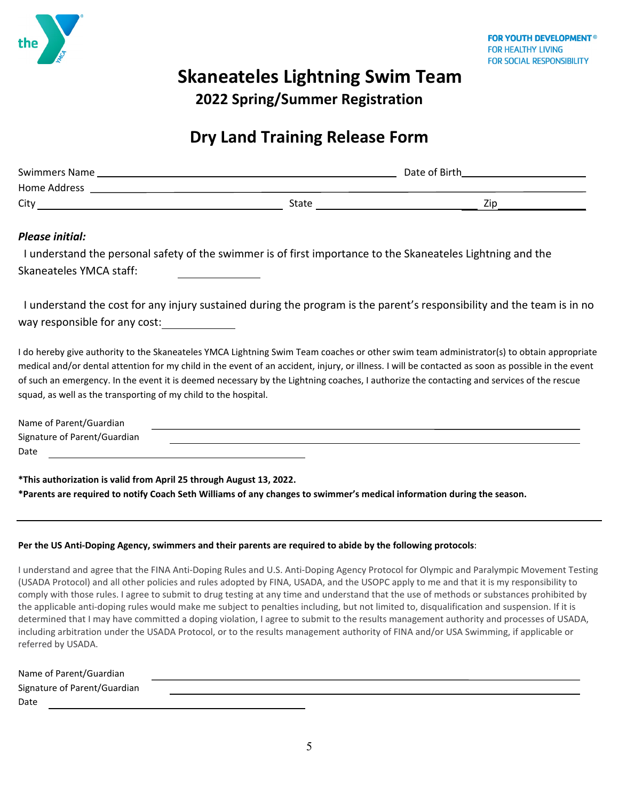

# **Skaneateles Lightning Swim Team**

**2022 Spring/Summer Registration**

## **Dry Land Training Release Form**

| Swimmers Name |       | Date of Birth |
|---------------|-------|---------------|
| Home Address  |       |               |
| City          | State | Zip           |
|               |       |               |

### *Please initial:*

 I understand the personal safety of the swimmer is of first importance to the Skaneateles Lightning and the Skaneateles YMCA staff:

 I understand the cost for any injury sustained during the program is the parent's responsibility and the team is in no way responsible for any cost:

I do hereby give authority to the Skaneateles YMCA Lightning Swim Team coaches or other swim team administrator(s) to obtain appropriate medical and/or dental attention for my child in the event of an accident, injury, or illness. I will be contacted as soon as possible in the event of such an emergency. In the event it is deemed necessary by the Lightning coaches, I authorize the contacting and services of the rescue squad, as well as the transporting of my child to the hospital.

| Name of Parent/Guardian      |  |  |
|------------------------------|--|--|
| Signature of Parent/Guardian |  |  |
| Date                         |  |  |

**\*This authorization is valid from April 25 through August 13, 2022. \*Parents are required to notify Coach Seth Williams of any changes to swimmer's medical information during the season.** 

### **Per the US Anti-Doping Agency, swimmers and their parents are required to abide by the following protocols**:

I understand and agree that the FINA Anti-Doping Rules and U.S. Anti-Doping Agency Protocol for Olympic and Paralympic Movement Testing (USADA Protocol) and all other policies and rules adopted by FINA, USADA, and the USOPC apply to me and that it is my responsibility to comply with those rules. I agree to submit to drug testing at any time and understand that the use of methods or substances prohibited by the applicable anti-doping rules would make me subject to penalties including, but not limited to, disqualification and suspension. If it is determined that I may have committed a doping violation, I agree to submit to the results management authority and processes of USADA, including arbitration under the USADA Protocol, or to the results management authority of FINA and/or USA Swimming, if applicable or referred by USADA.

| Name of Parent/Guardian      |  |  |
|------------------------------|--|--|
| Signature of Parent/Guardian |  |  |
| Date                         |  |  |